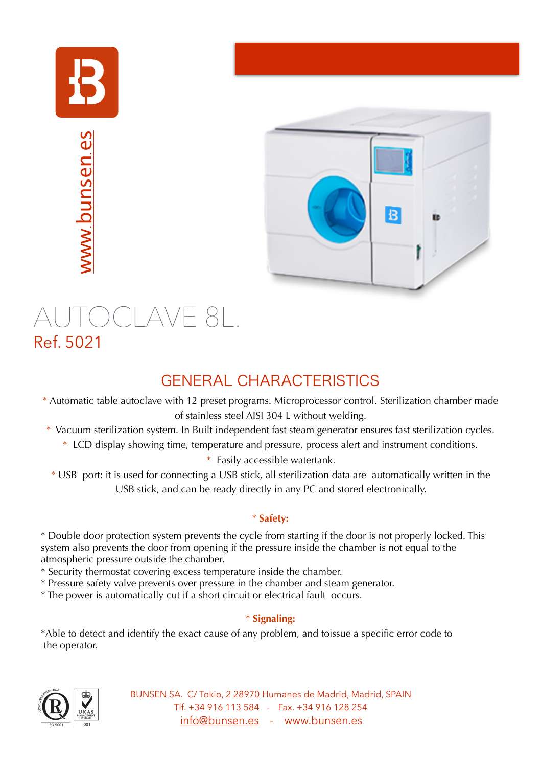

www.[bunsen](http://www.bunsen.es).es



# AUTOCLAVE 8L.<br>Ref. 5021

## GENERAL CHARACTERISTICS

- \* Automatic table autoclave with 12 preset programs. Microprocessor control. Sterilization chamber made of stainless steel AISI 304 L without welding.
- \* Vacuum sterilization system. In Built independent fast steam generator ensures fast sterilization cycles.
	- \* LCD display showing time, temperature and pressure, process alert and instrument conditions.

\* Easily accessible watertank.

\* USB port: it is used for connecting a USB stick, all sterilization data are automatically written in the USB stick, and can be ready directly in any PC and stored electronically.

### \* **Safety:**

\* Double door protection system prevents the cycle from starting if the door is not properly locked. This system also prevents the door from opening if the pressure inside the chamber is not equal to the atmospheric pressure outside the chamber.

- \* Security thermostat covering excess temperature inside the chamber.
- \* Pressure safety valve prevents over pressure in the chamber and steam generator.
- \* The power is automatically cut if a short circuit or electrical fault occurs.

### \* **Signaling:**

\*Able to detect and identify the exact cause of any problem, and toissue a specific error code to the operator.



BUNSEN SA. C/ Tokio, 2 28970 Humanes de Madrid, Madrid, SPAIN Tlf. +34 916 113 584 - Fax. +34 916 128 254 [info@bunsen.es](mailto:info@bunsen.es) - www.bunsen.es